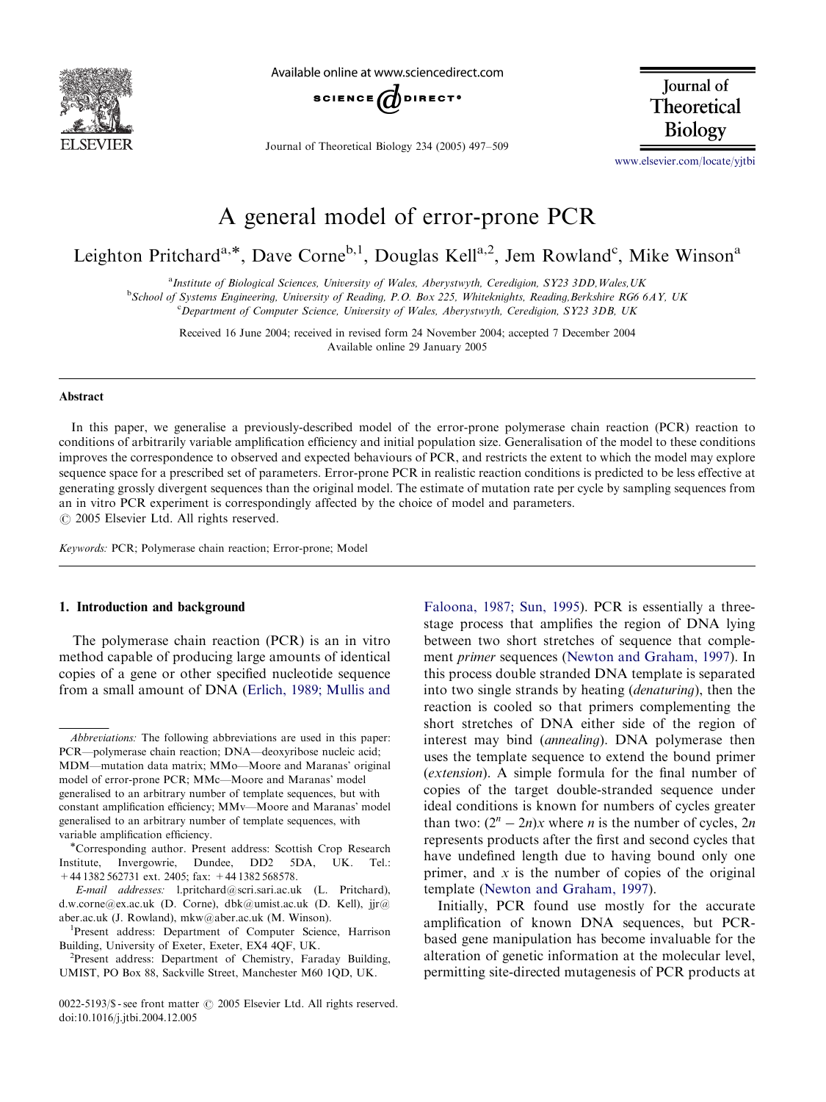

Available online at www.sciencedirect.com



Journal of Theoretical Biology 234 (2005) 497–509

Journal of Theoretical **Biology** 

<www.elsevier.com/locate/yjtbi>

# A general model of error-prone PCR

Leighton Pritchard<sup>a,\*</sup>, Dave Corne<sup>b,1</sup>, Douglas Kell<sup>a,2</sup>, Jem Rowland<sup>c</sup>, Mike Winson<sup>a</sup>

<sup>a</sup>Institute of Biological Sciences, University of Wales, Aberystwyth, Ceredigion, SY23 3DD, Wales, UK b School of Systems Engineering, University of Reading, P.O. Box 225, Whiteknights, Reading,Berkshire RG6 6AY, UK

<sup>c</sup>Department of Computer Science, University of Wales, Aberystwyth, Ceredigion, SY23 3DB, UK

Received 16 June 2004; received in revised form 24 November 2004; accepted 7 December 2004 Available online 29 January 2005

#### Abstract

In this paper, we generalise a previously-described model of the error-prone polymerase chain reaction (PCR) reaction to conditions of arbitrarily variable amplification efficiency and initial population size. Generalisation of the model to these conditions improves the correspondence to observed and expected behaviours of PCR, and restricts the extent to which the model may explore sequence space for a prescribed set of parameters. Error-prone PCR in realistic reaction conditions is predicted to be less effective at generating grossly divergent sequences than the original model. The estimate of mutation rate per cycle by sampling sequences from an in vitro PCR experiment is correspondingly affected by the choice of model and parameters.  $\odot$  2005 Elsevier Ltd. All rights reserved.

Keywords: PCR; Polymerase chain reaction; Error-prone; Model

## 1. Introduction and background

The polymerase chain reaction (PCR) is an in vitro method capable of producing large amounts of identical copies of a gene or other specified nucleotide sequence from a small amount of DNA [\(Erlich, 1989; Mullis and](#page-12-0)

[Faloona, 1987; Sun, 1995\)](#page-12-0). PCR is essentially a threestage process that amplifies the region of DNA lying between two short stretches of sequence that complement primer sequences ([Newton and Graham, 1997](#page-12-0)). In this process double stranded DNA template is separated into two single strands by heating (denaturing), then the reaction is cooled so that primers complementing the short stretches of DNA either side of the region of interest may bind (annealing). DNA polymerase then uses the template sequence to extend the bound primer (extension). A simple formula for the final number of copies of the target double-stranded sequence under ideal conditions is known for numbers of cycles greater than two:  $(2^n - 2n)x$  where *n* is the number of cycles, 2*n* represents products after the first and second cycles that have undefined length due to having bound only one primer, and  $x$  is the number of copies of the original template ([Newton and Graham, 1997](#page-12-0)).

Initially, PCR found use mostly for the accurate amplification of known DNA sequences, but PCRbased gene manipulation has become invaluable for the alteration of genetic information at the molecular level, permitting site-directed mutagenesis of PCR products at

Abbreviations: The following abbreviations are used in this paper: PCR—polymerase chain reaction; DNA—deoxyribose nucleic acid; MDM—mutation data matrix; MMo—Moore and Maranas' original model of error-prone PCR; MMc—Moore and Maranas' model generalised to an arbitrary number of template sequences, but with constant amplification efficiency; MMv—Moore and Maranas' model generalised to an arbitrary number of template sequences, with

<sup>\*</sup>Corresponding author. Present address: Scottish Crop Research Institute, Invergowrie, Dundee, DD2 5DA, UK. Tel.: +44 1382 562731 ext. 2405; fax: +44 1382 568578.

E-mail addresses: l.pritchard@scri.sari.ac.uk (L. Pritchard), d.w.corne@ex.ac.uk (D. Corne), dbk@umist.ac.uk (D. Kell), jir@ aber.ac.uk (J. Rowland), mkw@aber.ac.uk (M. Winson). <sup>1</sup>

Present address: Department of Computer Science, Harrison Building, University of Exeter, Exeter, EX4 4QF, UK.

<sup>&</sup>lt;sup>2</sup>Present address: Department of Chemistry, Faraday Building, UMIST, PO Box 88, Sackville Street, Manchester M60 1QD, UK.

 $0022-5193/$ \$ - see front matter  $\odot$  2005 Elsevier Ltd. All rights reserved. doi:10.1016/j.jtbi.2004.12.005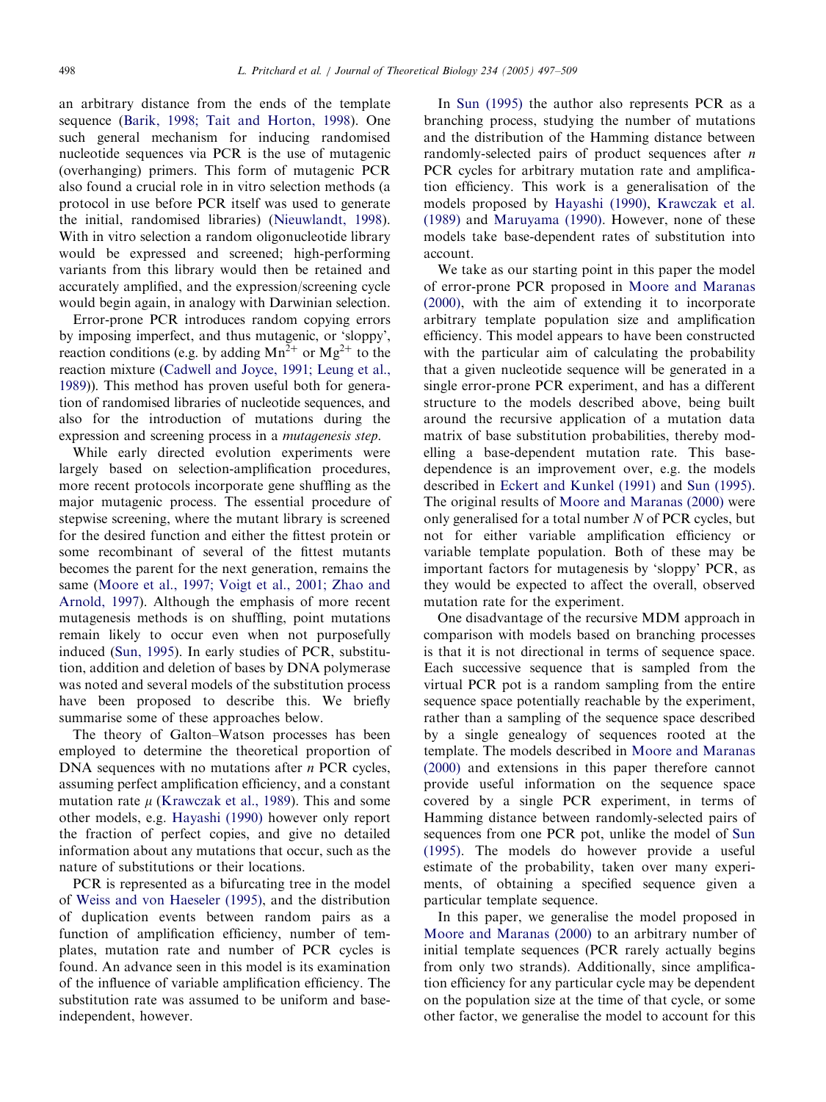an arbitrary distance from the ends of the template sequence ([Barik, 1998; Tait and Horton, 1998\)](#page-12-0). One such general mechanism for inducing randomised nucleotide sequences via PCR is the use of mutagenic (overhanging) primers. This form of mutagenic PCR also found a crucial role in in vitro selection methods (a protocol in use before PCR itself was used to generate the initial, randomised libraries) [\(Nieuwlandt, 1998\)](#page-12-0). With in vitro selection a random oligonucleotide library would be expressed and screened; high-performing variants from this library would then be retained and accurately amplified, and the expression/screening cycle would begin again, in analogy with Darwinian selection.

Error-prone PCR introduces random copying errors by imposing imperfect, and thus mutagenic, or 'sloppy', reaction conditions (e.g. by adding  $Mn^{2+}$  or  $Mg^{2+}$  to the reaction mixture [\(Cadwell and Joyce, 1991; Leung et al.,](#page-12-0) [1989](#page-12-0))). This method has proven useful both for generation of randomised libraries of nucleotide sequences, and also for the introduction of mutations during the expression and screening process in a mutagenesis step.

While early directed evolution experiments were largely based on selection-amplification procedures, more recent protocols incorporate gene shuffling as the major mutagenic process. The essential procedure of stepwise screening, where the mutant library is screened for the desired function and either the fittest protein or some recombinant of several of the fittest mutants becomes the parent for the next generation, remains the same ([Moore et al., 1997; Voigt et al., 2001; Zhao and](#page-12-0) [Arnold, 1997](#page-12-0)). Although the emphasis of more recent mutagenesis methods is on shuffling, point mutations remain likely to occur even when not purposefully induced ([Sun, 1995\)](#page-12-0). In early studies of PCR, substitution, addition and deletion of bases by DNA polymerase was noted and several models of the substitution process have been proposed to describe this. We briefly summarise some of these approaches below.

The theory of Galton–Watson processes has been employed to determine the theoretical proportion of DNA sequences with no mutations after  $n$  PCR cycles, assuming perfect amplification efficiency, and a constant mutation rate  $\mu$  [\(Krawczak et al., 1989\)](#page-12-0). This and some other models, e.g. [Hayashi \(1990\)](#page-12-0) however only report the fraction of perfect copies, and give no detailed information about any mutations that occur, such as the nature of substitutions or their locations.

PCR is represented as a bifurcating tree in the model of [Weiss and von Haeseler \(1995\)](#page-12-0), and the distribution of duplication events between random pairs as a function of amplification efficiency, number of templates, mutation rate and number of PCR cycles is found. An advance seen in this model is its examination of the influence of variable amplification efficiency. The substitution rate was assumed to be uniform and baseindependent, however.

In [Sun \(1995\)](#page-12-0) the author also represents PCR as a branching process, studying the number of mutations and the distribution of the Hamming distance between randomly-selected pairs of product sequences after  $n$ PCR cycles for arbitrary mutation rate and amplification efficiency. This work is a generalisation of the models proposed by [Hayashi \(1990\)](#page-12-0), [Krawczak et al.](#page-12-0) [\(1989\)](#page-12-0) and [Maruyama \(1990\).](#page-12-0) However, none of these models take base-dependent rates of substitution into account.

We take as our starting point in this paper the model of error-prone PCR proposed in [Moore and Maranas](#page-12-0) [\(2000\)](#page-12-0), with the aim of extending it to incorporate arbitrary template population size and amplification efficiency. This model appears to have been constructed with the particular aim of calculating the probability that a given nucleotide sequence will be generated in a single error-prone PCR experiment, and has a different structure to the models described above, being built around the recursive application of a mutation data matrix of base substitution probabilities, thereby modelling a base-dependent mutation rate. This basedependence is an improvement over, e.g. the models described in [Eckert and Kunkel \(1991\)](#page-12-0) and [Sun \(1995\).](#page-12-0) The original results of [Moore and Maranas \(2000\)](#page-12-0) were only generalised for a total number N of PCR cycles, but not for either variable amplification efficiency or variable template population. Both of these may be important factors for mutagenesis by 'sloppy' PCR, as they would be expected to affect the overall, observed mutation rate for the experiment.

One disadvantage of the recursive MDM approach in comparison with models based on branching processes is that it is not directional in terms of sequence space. Each successive sequence that is sampled from the virtual PCR pot is a random sampling from the entire sequence space potentially reachable by the experiment, rather than a sampling of the sequence space described by a single genealogy of sequences rooted at the template. The models described in [Moore and Maranas](#page-12-0) [\(2000\)](#page-12-0) and extensions in this paper therefore cannot provide useful information on the sequence space covered by a single PCR experiment, in terms of Hamming distance between randomly-selected pairs of sequences from one PCR pot, unlike the model of [Sun](#page-12-0) [\(1995\)](#page-12-0). The models do however provide a useful estimate of the probability, taken over many experiments, of obtaining a specified sequence given a particular template sequence.

In this paper, we generalise the model proposed in [Moore and Maranas \(2000\)](#page-12-0) to an arbitrary number of initial template sequences (PCR rarely actually begins from only two strands). Additionally, since amplification efficiency for any particular cycle may be dependent on the population size at the time of that cycle, or some other factor, we generalise the model to account for this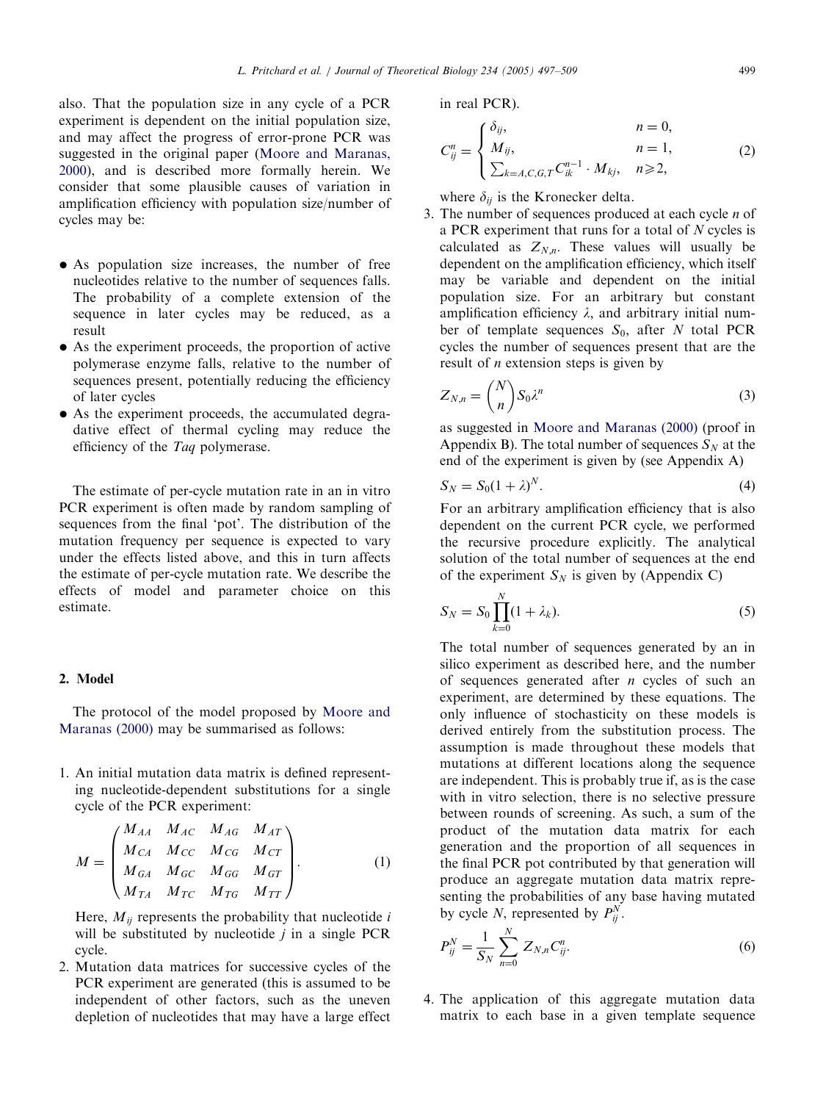also. That the population size in any cycle of a PCR experiment is dependent on the initial population size, and may affect the progress of error-prone PCR was suggested in the original paper [\(Moore and Maranas,](#page-12-0) [2000](#page-12-0)), and is described more formally herein. We consider that some plausible causes of variation in amplification efficiency with population size/number of cycles may be:

- As population size increases, the number of free nucleotides relative to the number of sequences falls. The probability of a complete extension of the sequence in later cycles may be reduced, as a result
- As the experiment proceeds, the proportion of active polymerase enzyme falls, relative to the number of sequences present, potentially reducing the efficiency of later cycles
- As the experiment proceeds, the accumulated degradative effect of thermal cycling may reduce the efficiency of the Taq polymerase.

The estimate of per-cycle mutation rate in an in vitro PCR experiment is often made by random sampling of sequences from the final 'pot'. The distribution of the mutation frequency per sequence is expected to vary under the effects listed above, and this in turn affects the estimate of per-cycle mutation rate. We describe the effects of model and parameter choice on this estimate.

#### 2. Model

The protocol of the model proposed by [Moore and](#page-12-0) [Maranas \(2000\)](#page-12-0) may be summarised as follows:

1. An initial mutation data matrix is defined representing nucleotide-dependent substitutions for a single cycle of the PCR experiment:

$$
M = \begin{pmatrix} M_{AA} & M_{AC} & M_{AG} & M_{AT} \\ M_{CA} & M_{CC} & M_{CG} & M_{CT} \\ M_{GA} & M_{GC} & M_{GG} & M_{GT} \\ M_{TA} & M_{TC} & M_{TG} & M_{TT} \end{pmatrix}.
$$
 (1)

Here,  $M_{ij}$  represents the probability that nucleotide i will be substituted by nucleotide  $j$  in a single PCR cycle.

2. Mutation data matrices for successive cycles of the PCR experiment are generated (this is assumed to be independent of other factors, such as the uneven depletion of nucleotides that may have a large effect in real PCR).

$$
C_{ij}^{n} = \begin{cases} \delta_{ij}, & n = 0, \\ M_{ij}, & n = 1, \\ \sum_{k=A,C,G,T} C_{ik}^{n-1} \cdot M_{kj}, & n \ge 2, \end{cases}
$$
 (2)

where  $\delta_{ii}$  is the Kronecker delta.

3. The number of sequences produced at each cycle  $n$  of a PCR experiment that runs for a total of N cycles is calculated as  $Z_{N,n}$ . These values will usually be dependent on the amplification efficiency, which itself may be variable and dependent on the initial population size. For an arbitrary but constant amplification efficiency  $\lambda$ , and arbitrary initial number of template sequences  $S_0$ , after N total PCR cycles the number of sequences present that are the result of *n* extension steps is given by

$$
Z_{N,n} = \binom{N}{n} S_0 \lambda^n \tag{3}
$$

as suggested in [Moore and Maranas \(2000\)](#page-12-0) (proof in Appendix B). The total number of sequences  $S_N$  at the end of the experiment is given by (see Appendix A)

$$
S_N = S_0 (1 + \lambda)^N. \tag{4}
$$

For an arbitrary amplification efficiency that is also dependent on the current PCR cycle, we performed the recursive procedure explicitly. The analytical solution of the total number of sequences at the end of the experiment  $S_N$  is given by (Appendix C)

$$
S_N = S_0 \prod_{k=0}^N (1 + \lambda_k).
$$
 (5)

The total number of sequences generated by an in silico experiment as described here, and the number of sequences generated after  $n$  cycles of such an experiment, are determined by these equations. The only influence of stochasticity on these models is derived entirely from the substitution process. The assumption is made throughout these models that mutations at different locations along the sequence are independent. This is probably true if, as is the case with in vitro selection, there is no selective pressure between rounds of screening. As such, a sum of the product of the mutation data matrix for each generation and the proportion of all sequences in the final PCR pot contributed by that generation will produce an aggregate mutation data matrix representing the probabilities of any base having mutated by cycle N, represented by  $P_{ij}^N$ .

$$
P_{ij}^N = \frac{1}{S_N} \sum_{n=0}^N Z_{N,n} C_{ij}^n.
$$
 (6)

4. The application of this aggregate mutation data matrix to each base in a given template sequence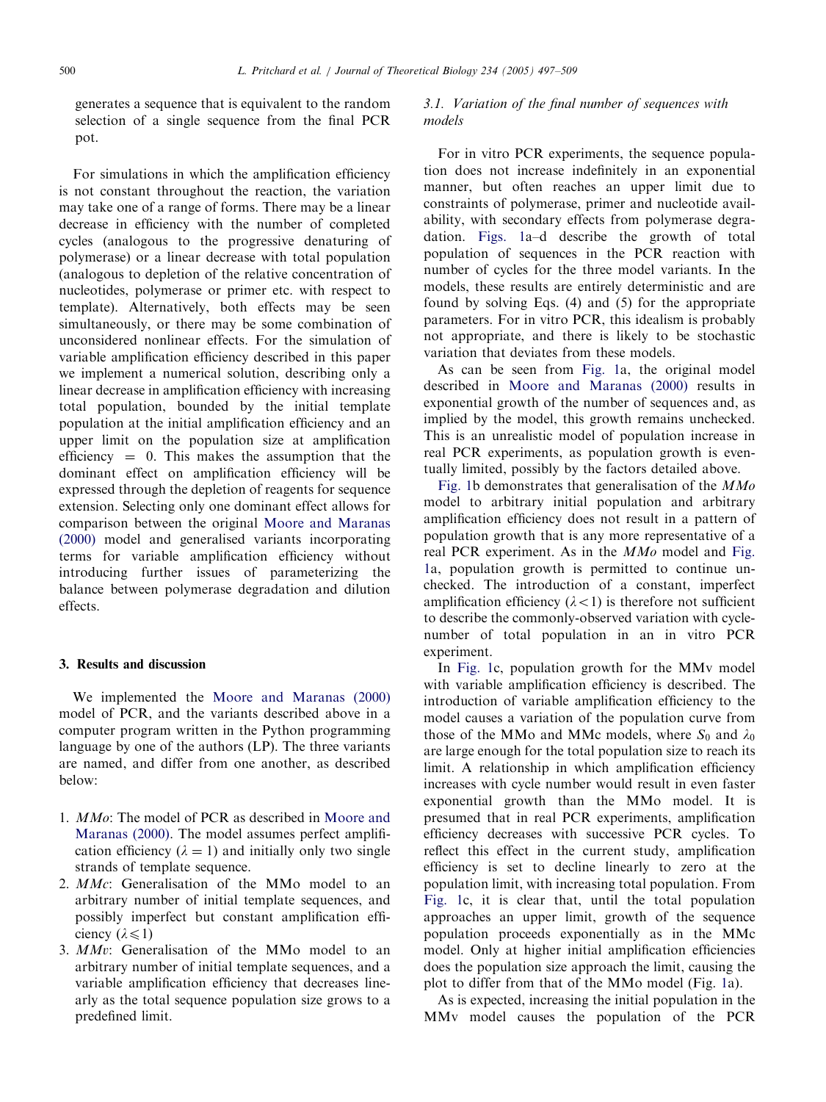generates a sequence that is equivalent to the random selection of a single sequence from the final PCR pot.

For simulations in which the amplification efficiency is not constant throughout the reaction, the variation may take one of a range of forms. There may be a linear decrease in efficiency with the number of completed cycles (analogous to the progressive denaturing of polymerase) or a linear decrease with total population (analogous to depletion of the relative concentration of nucleotides, polymerase or primer etc. with respect to template). Alternatively, both effects may be seen simultaneously, or there may be some combination of unconsidered nonlinear effects. For the simulation of variable amplification efficiency described in this paper we implement a numerical solution, describing only a linear decrease in amplification efficiency with increasing total population, bounded by the initial template population at the initial amplification efficiency and an upper limit on the population size at amplification efficiency  $= 0$ . This makes the assumption that the dominant effect on amplification efficiency will be expressed through the depletion of reagents for sequence extension. Selecting only one dominant effect allows for comparison between the original [Moore and Maranas](#page-12-0) [\(2000\)](#page-12-0) model and generalised variants incorporating terms for variable amplification efficiency without introducing further issues of parameterizing the balance between polymerase degradation and dilution effects.

#### 3. Results and discussion

We implemented the [Moore and Maranas \(2000\)](#page-12-0) model of PCR, and the variants described above in a computer program written in the Python programming language by one of the authors (LP). The three variants are named, and differ from one another, as described below:

- 1. MMo: The model of PCR as described in [Moore and](#page-12-0) [Maranas \(2000\)](#page-12-0). The model assumes perfect amplification efficiency ( $\lambda = 1$ ) and initially only two single strands of template sequence.
- 2. MMc: Generalisation of the MMo model to an arbitrary number of initial template sequences, and possibly imperfect but constant amplification efficiency ( $\lambda \leq 1$ )
- 3. MMv: Generalisation of the MMo model to an arbitrary number of initial template sequences, and a variable amplification efficiency that decreases linearly as the total sequence population size grows to a predefined limit.

## 3.1. Variation of the final number of sequences with models

For in vitro PCR experiments, the sequence population does not increase indefinitely in an exponential manner, but often reaches an upper limit due to constraints of polymerase, primer and nucleotide availability, with secondary effects from polymerase degradation. [Figs. 1a](#page-4-0)–d describe the growth of total population of sequences in the PCR reaction with number of cycles for the three model variants. In the models, these results are entirely deterministic and are found by solving Eqs. (4) and (5) for the appropriate parameters. For in vitro PCR, this idealism is probably not appropriate, and there is likely to be stochastic variation that deviates from these models.

As can be seen from [Fig. 1](#page-4-0)a, the original model described in [Moore and Maranas \(2000\)](#page-12-0) results in exponential growth of the number of sequences and, as implied by the model, this growth remains unchecked. This is an unrealistic model of population increase in real PCR experiments, as population growth is eventually limited, possibly by the factors detailed above.

[Fig. 1b](#page-4-0) demonstrates that generalisation of the MMo model to arbitrary initial population and arbitrary amplification efficiency does not result in a pattern of population growth that is any more representative of a real PCR experiment. As in the MMo model and [Fig.](#page-4-0) [1a](#page-4-0), population growth is permitted to continue unchecked. The introduction of a constant, imperfect amplification efficiency  $(\lambda < 1)$  is therefore not sufficient to describe the commonly-observed variation with cyclenumber of total population in an in vitro PCR experiment.

In [Fig. 1](#page-4-0)c, population growth for the MMv model with variable amplification efficiency is described. The introduction of variable amplification efficiency to the model causes a variation of the population curve from those of the MMo and MMc models, where  $S_0$  and  $\lambda_0$ are large enough for the total population size to reach its limit. A relationship in which amplification efficiency increases with cycle number would result in even faster exponential growth than the MMo model. It is presumed that in real PCR experiments, amplification efficiency decreases with successive PCR cycles. To reflect this effect in the current study, amplification efficiency is set to decline linearly to zero at the population limit, with increasing total population. From [Fig. 1c](#page-4-0), it is clear that, until the total population approaches an upper limit, growth of the sequence population proceeds exponentially as in the MMc model. Only at higher initial amplification efficiencies does the population size approach the limit, causing the plot to differ from that of the MMo model (Fig. [1a](#page-4-0)).

As is expected, increasing the initial population in the MMv model causes the population of the PCR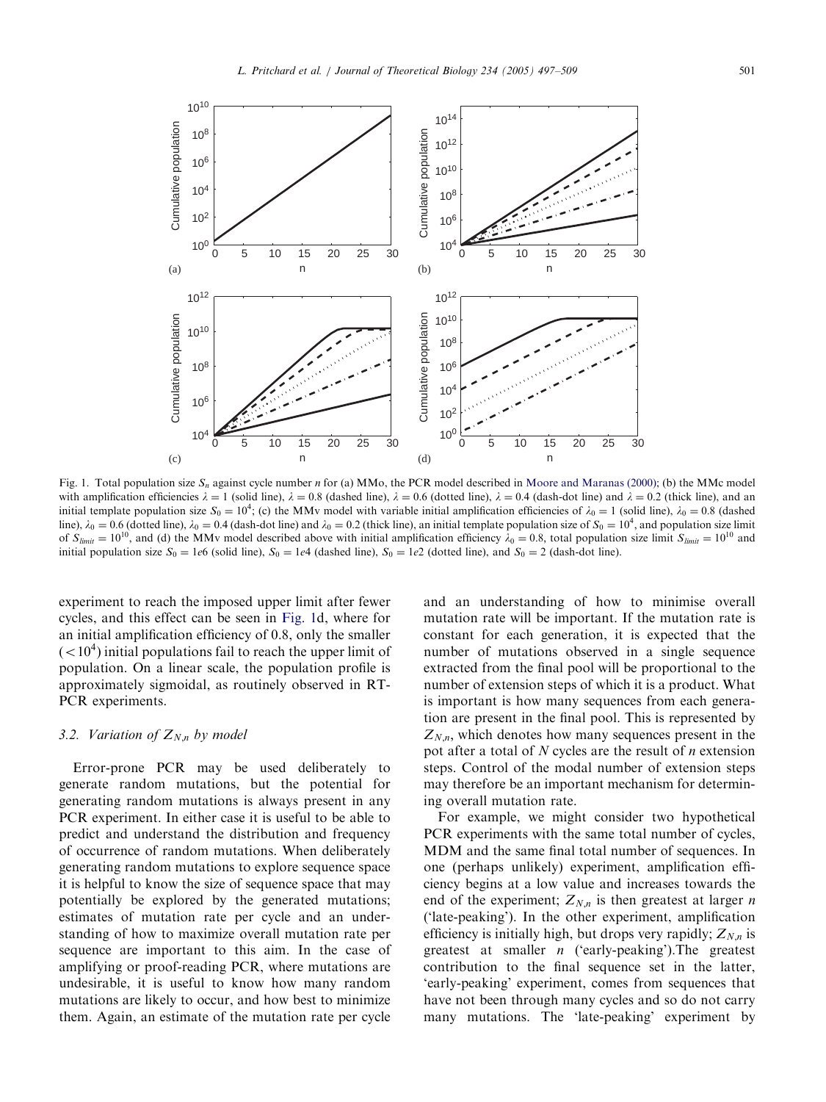<span id="page-4-0"></span>

Fig. 1. Total population size  $S_n$  against cycle number n for (a) MMo, the PCR model described in [Moore and Maranas \(2000\)](#page-12-0); (b) the MMc model with amplification efficiencies  $\lambda = 1$  (solid line),  $\lambda = 0.8$  (dashed line),  $\lambda = 0.6$  (dotted line),  $\lambda = 0.4$  (dash-dot line) and  $\lambda = 0.2$  (thick line), and an initial template population size  $S_0 = 10^4$ ; (c) the MMv model with variable initial amplification efficiencies of  $\lambda_0 = 1$  (solid line),  $\lambda_0 = 0.8$  (dashed line),  $\lambda_0 = 0.6$  (dotted line),  $\lambda_0 = 0.4$  (dash-dot line) and  $\lambda_0 = 0.2$  (thick line), an initial template population size of  $S_0 = 10^4$ , and population size limit of  $S_{limit} = 10^{10}$ , and (d) the MMv model described above with initial amplification efficiency  $\lambda_0 = 0.8$ , total population size limit  $S_{limit} = 10^{10}$  and initial population size  $S_0 = 1e6$  (solid line),  $S_0 = 1e4$  (dashed line),  $S_0 = 1e2$  (dotted line), and  $S_0 = 2$  (dash-dot line).

experiment to reach the imposed upper limit after fewer cycles, and this effect can be seen in Fig. 1d, where for an initial amplification efficiency of 0.8, only the smaller  $(< 10<sup>4</sup>)$  initial populations fail to reach the upper limit of population. On a linear scale, the population profile is approximately sigmoidal, as routinely observed in RT-PCR experiments.

# 3.2. Variation of  $Z_{N,n}$  by model

Error-prone PCR may be used deliberately to generate random mutations, but the potential for generating random mutations is always present in any PCR experiment. In either case it is useful to be able to predict and understand the distribution and frequency of occurrence of random mutations. When deliberately generating random mutations to explore sequence space it is helpful to know the size of sequence space that may potentially be explored by the generated mutations; estimates of mutation rate per cycle and an understanding of how to maximize overall mutation rate per sequence are important to this aim. In the case of amplifying or proof-reading PCR, where mutations are undesirable, it is useful to know how many random mutations are likely to occur, and how best to minimize them. Again, an estimate of the mutation rate per cycle

and an understanding of how to minimise overall mutation rate will be important. If the mutation rate is constant for each generation, it is expected that the number of mutations observed in a single sequence extracted from the final pool will be proportional to the number of extension steps of which it is a product. What is important is how many sequences from each generation are present in the final pool. This is represented by  $Z_{N,n}$ , which denotes how many sequences present in the pot after a total of  $N$  cycles are the result of  $n$  extension steps. Control of the modal number of extension steps may therefore be an important mechanism for determining overall mutation rate.

For example, we might consider two hypothetical PCR experiments with the same total number of cycles, MDM and the same final total number of sequences. In one (perhaps unlikely) experiment, amplification efficiency begins at a low value and increases towards the end of the experiment;  $Z_{N,n}$  is then greatest at larger n ('late-peaking'). In the other experiment, amplification efficiency is initially high, but drops very rapidly;  $Z_{N,n}$  is greatest at smaller  $n$  ('early-peaking'). The greatest contribution to the final sequence set in the latter, 'early-peaking' experiment, comes from sequences that have not been through many cycles and so do not carry many mutations. The 'late-peaking' experiment by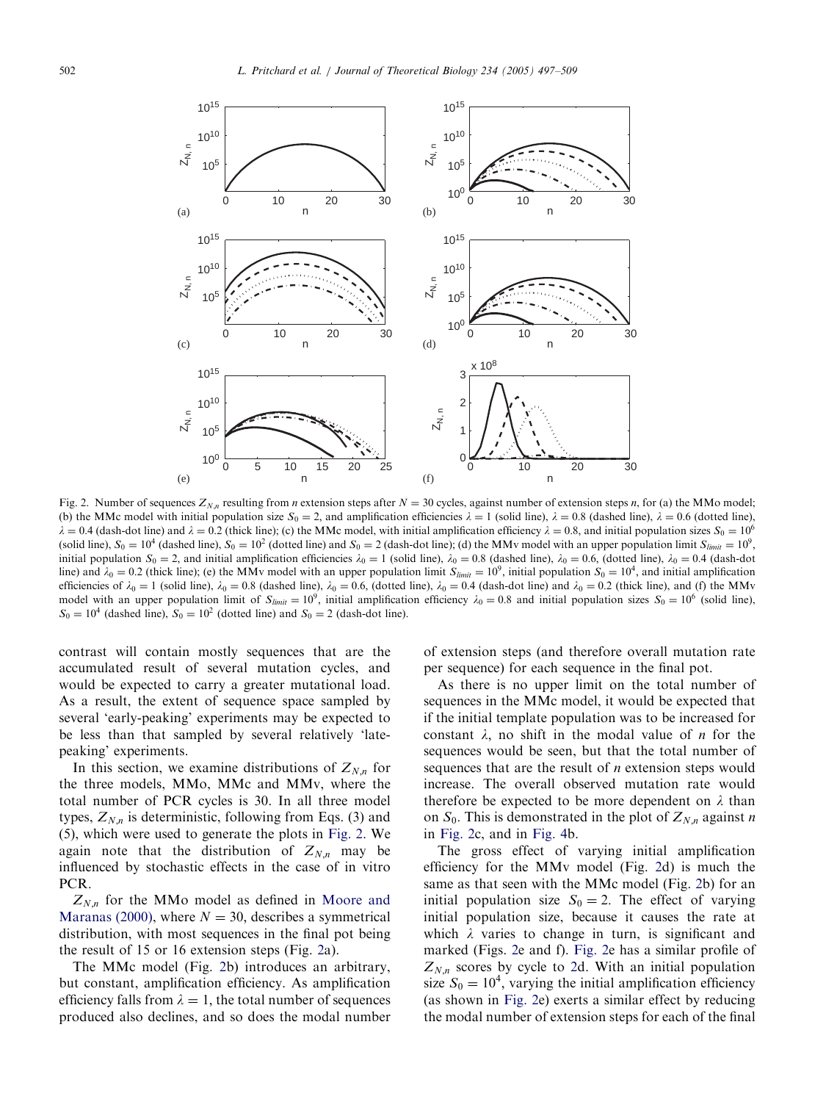<span id="page-5-0"></span>

Fig. 2. Number of sequences  $Z_{N,n}$  resulting from *n* extension steps after  $N = 30$  cycles, against number of extension steps *n*, for (a) the MMo model; (b) the MMc model with initial population size  $S_0 = 2$ , and amplification efficiencies  $\lambda = 1$  (solid line),  $\lambda = 0.8$  (dashed line),  $\lambda = 0.6$  (dotted line),  $\lambda = 0.4$  (dash-dot line) and  $\lambda = 0.2$  (thick line); (c) the MMc model, with initial amplification efficiency  $\lambda = 0.8$ , and initial population sizes  $S_0 = 10^6$ (solid line),  $S_0 = 10^4$  (dashed line),  $S_0 = 10^2$  (dotted line) and  $S_0 = 2$  (dash-dot line); (d) the MMv model with an upper population limit  $S_{limit} = 10^9$ , initial population  $S_0 = 2$ , and initial amplification efficiencies  $\lambda_0 = 1$  (solid line),  $\lambda_0 = 0.8$  (dashed line),  $\lambda_0 = 0.6$ , (dotted line),  $\lambda_0 = 0.4$  (dash-dot line) and  $\lambda_0 = 0.2$  (thick line); (e) the MMv model with an upper population limit  $S_{limit} = 10^9$ , initial population  $S_0 = 10^4$ , and initial amplification efficiencies of  $\lambda_0 = 1$  (solid line),  $\lambda_0 = 0.8$  (dashed line),  $\lambda_0 = 0.6$ , (dotted line),  $\lambda_0 = 0.4$  (dash-dot line) and  $\lambda_0 = 0.2$  (thick line), and (f) the MMv model with an upper population limit of  $S_{limit} = 10^9$ , initial amplification efficiency  $\lambda_0 = 0.8$  and initial population sizes  $S_0 = 10^6$  (solid line),  $S_0 = 10^4$  (dashed line),  $S_0 = 10^2$  (dotted line) and  $S_0 = 2$  (dash-dot line).

contrast will contain mostly sequences that are the accumulated result of several mutation cycles, and would be expected to carry a greater mutational load. As a result, the extent of sequence space sampled by several 'early-peaking' experiments may be expected to be less than that sampled by several relatively 'latepeaking' experiments.

In this section, we examine distributions of  $Z_{N,n}$  for the three models, MMo, MMc and MMv, where the total number of PCR cycles is 30. In all three model types,  $Z_{N,n}$  is deterministic, following from Eqs. (3) and (5), which were used to generate the plots in Fig. 2. We again note that the distribution of  $Z_{N,n}$  may be influenced by stochastic effects in the case of in vitro PCR.

 $Z_{N,n}$  for the MMo model as defined in [Moore and](#page-12-0) [Maranas \(2000\)](#page-12-0), where  $N = 30$ , describes a symmetrical distribution, with most sequences in the final pot being the result of 15 or 16 extension steps (Fig. 2a).

The MMc model (Fig. 2b) introduces an arbitrary, but constant, amplification efficiency. As amplification efficiency falls from  $\lambda = 1$ , the total number of sequences produced also declines, and so does the modal number of extension steps (and therefore overall mutation rate per sequence) for each sequence in the final pot.

As there is no upper limit on the total number of sequences in the MMc model, it would be expected that if the initial template population was to be increased for constant  $\lambda$ , no shift in the modal value of *n* for the sequences would be seen, but that the total number of sequences that are the result of *n* extension steps would increase. The overall observed mutation rate would therefore be expected to be more dependent on  $\lambda$  than on  $S_0$ . This is demonstrated in the plot of  $Z_{N,n}$  against n in Fig. 2c, and in [Fig. 4](#page-8-0)b.

The gross effect of varying initial amplification efficiency for the MMv model (Fig. 2d) is much the same as that seen with the MMc model (Fig. 2b) for an initial population size  $S_0 = 2$ . The effect of varying initial population size, because it causes the rate at which  $\lambda$  varies to change in turn, is significant and marked (Figs. 2e and f). Fig. 2e has a similar profile of  $Z_{N,n}$  scores by cycle to 2d. With an initial population size  $S_0 = 10^4$ , varying the initial amplification efficiency (as shown in Fig. 2e) exerts a similar effect by reducing the modal number of extension steps for each of the final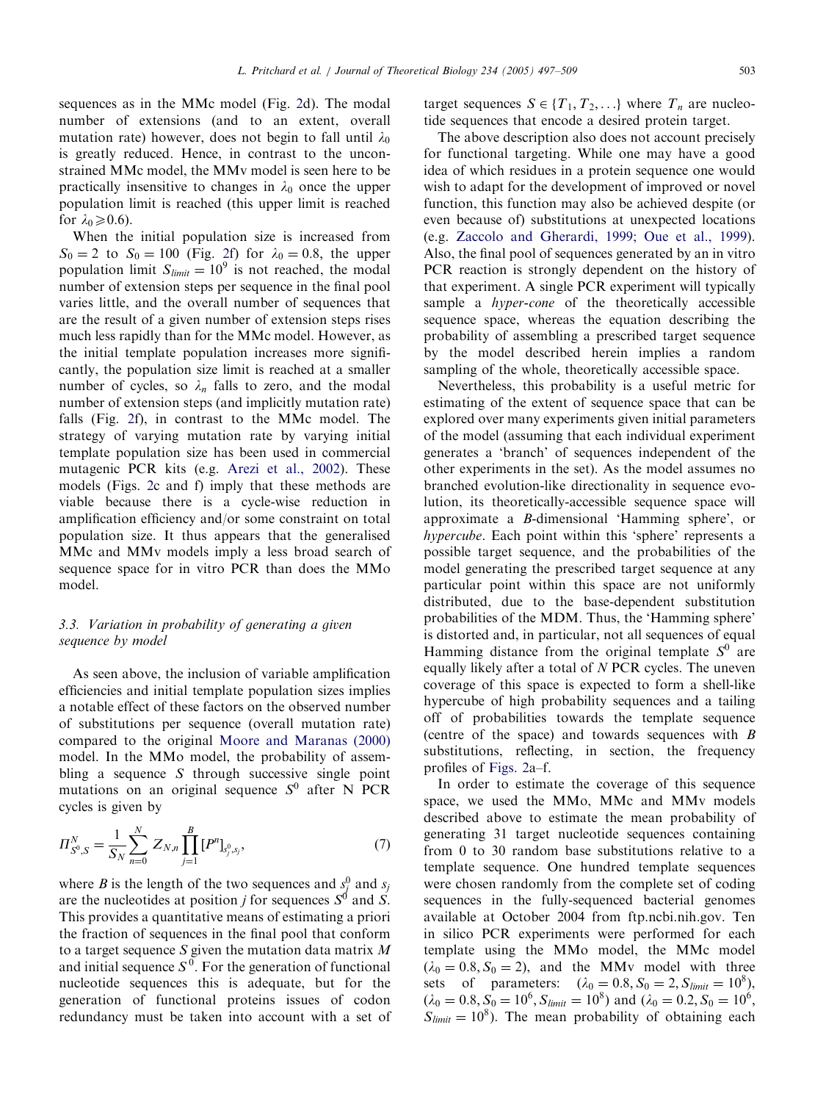sequences as in the MMc model (Fig. [2d](#page-5-0)). The modal number of extensions (and to an extent, overall mutation rate) however, does not begin to fall until  $\lambda_0$ is greatly reduced. Hence, in contrast to the unconstrained MMc model, the MMv model is seen here to be practically insensitive to changes in  $\lambda_0$  once the upper population limit is reached (this upper limit is reached for  $\lambda_0 \geqslant 0.6$ ).

When the initial population size is increased from  $S_0 = 2$  to  $S_0 = 100$  (Fig. [2f](#page-5-0)) for  $\lambda_0 = 0.8$ , the upper population limit  $S_{limit} = 10^9$  is not reached, the modal number of extension steps per sequence in the final pool varies little, and the overall number of sequences that are the result of a given number of extension steps rises much less rapidly than for the MMc model. However, as the initial template population increases more significantly, the population size limit is reached at a smaller number of cycles, so  $\lambda_n$  falls to zero, and the modal number of extension steps (and implicitly mutation rate) falls (Fig. [2](#page-5-0)f), in contrast to the MMc model. The strategy of varying mutation rate by varying initial template population size has been used in commercial mutagenic PCR kits (e.g. [Arezi et al., 2002](#page-12-0)). These models (Figs. [2c](#page-5-0) and f) imply that these methods are viable because there is a cycle-wise reduction in amplification efficiency and/or some constraint on total population size. It thus appears that the generalised MMc and MMv models imply a less broad search of sequence space for in vitro PCR than does the MMo model.

# 3.3. Variation in probability of generating a given sequence by model

As seen above, the inclusion of variable amplification efficiencies and initial template population sizes implies a notable effect of these factors on the observed number of substitutions per sequence (overall mutation rate) compared to the original [Moore and Maranas \(2000\)](#page-12-0) model. In the MMo model, the probability of assembling a sequence S through successive single point mutations on an original sequence  $S^0$  after N PCR cycles is given by

$$
\Pi_{S^0,S}^N = \frac{1}{S_N} \sum_{n=0}^N Z_{N,n} \prod_{j=1}^B [P^n]_{S_j^0, S_j},\tag{7}
$$

where *B* is the length of the two sequences and  $s_j^0$  and  $s_j$ are the nucleotides at position *j* for sequences  $S^0$  and *S*. This provides a quantitative means of estimating a priori the fraction of sequences in the final pool that conform to a target sequence S given the mutation data matrix  $M$ and initial sequence  $S^0$ . For the generation of functional nucleotide sequences this is adequate, but for the generation of functional proteins issues of codon redundancy must be taken into account with a set of target sequences  $S \in \{T_1, T_2, \ldots\}$  where  $T_n$  are nucleotide sequences that encode a desired protein target.

The above description also does not account precisely for functional targeting. While one may have a good idea of which residues in a protein sequence one would wish to adapt for the development of improved or novel function, this function may also be achieved despite (or even because of) substitutions at unexpected locations (e.g. [Zaccolo and Gherardi, 1999; Oue et al., 1999\)](#page-12-0). Also, the final pool of sequences generated by an in vitro PCR reaction is strongly dependent on the history of that experiment. A single PCR experiment will typically sample a *hyper-cone* of the theoretically accessible sequence space, whereas the equation describing the probability of assembling a prescribed target sequence by the model described herein implies a random sampling of the whole, theoretically accessible space.

Nevertheless, this probability is a useful metric for estimating of the extent of sequence space that can be explored over many experiments given initial parameters of the model (assuming that each individual experiment generates a 'branch' of sequences independent of the other experiments in the set). As the model assumes no branched evolution-like directionality in sequence evolution, its theoretically-accessible sequence space will approximate a B-dimensional 'Hamming sphere', or hypercube. Each point within this 'sphere' represents a possible target sequence, and the probabilities of the model generating the prescribed target sequence at any particular point within this space are not uniformly distributed, due to the base-dependent substitution probabilities of the MDM. Thus, the 'Hamming sphere' is distorted and, in particular, not all sequences of equal Hamming distance from the original template  $S^0$  are equally likely after a total of N PCR cycles. The uneven coverage of this space is expected to form a shell-like hypercube of high probability sequences and a tailing off of probabilities towards the template sequence (centre of the space) and towards sequences with B substitutions, reflecting, in section, the frequency profiles of [Figs. 2a](#page-5-0)–f.

In order to estimate the coverage of this sequence space, we used the MMo, MMc and MMv models described above to estimate the mean probability of generating 31 target nucleotide sequences containing from 0 to 30 random base substitutions relative to a template sequence. One hundred template sequences were chosen randomly from the complete set of coding sequences in the fully-sequenced bacterial genomes available at October 2004 from ftp.ncbi.nih.gov. Ten in silico PCR experiments were performed for each template using the MMo model, the MMc model  $(\lambda_0 = 0.8, S_0 = 2)$ , and the MMv model with three sets of parameters:  $(\lambda_0 = 0.8, S_0 = 2, S_{limit} = 10^8)$ ,  $(\lambda_0 = 0.8, S_0 = 10^6, S_{limit} = 10^8)$  and  $(\lambda_0 = 0.2, S_0 = 10^6,$  $S_{limit} = 10<sup>8</sup>$ ). The mean probability of obtaining each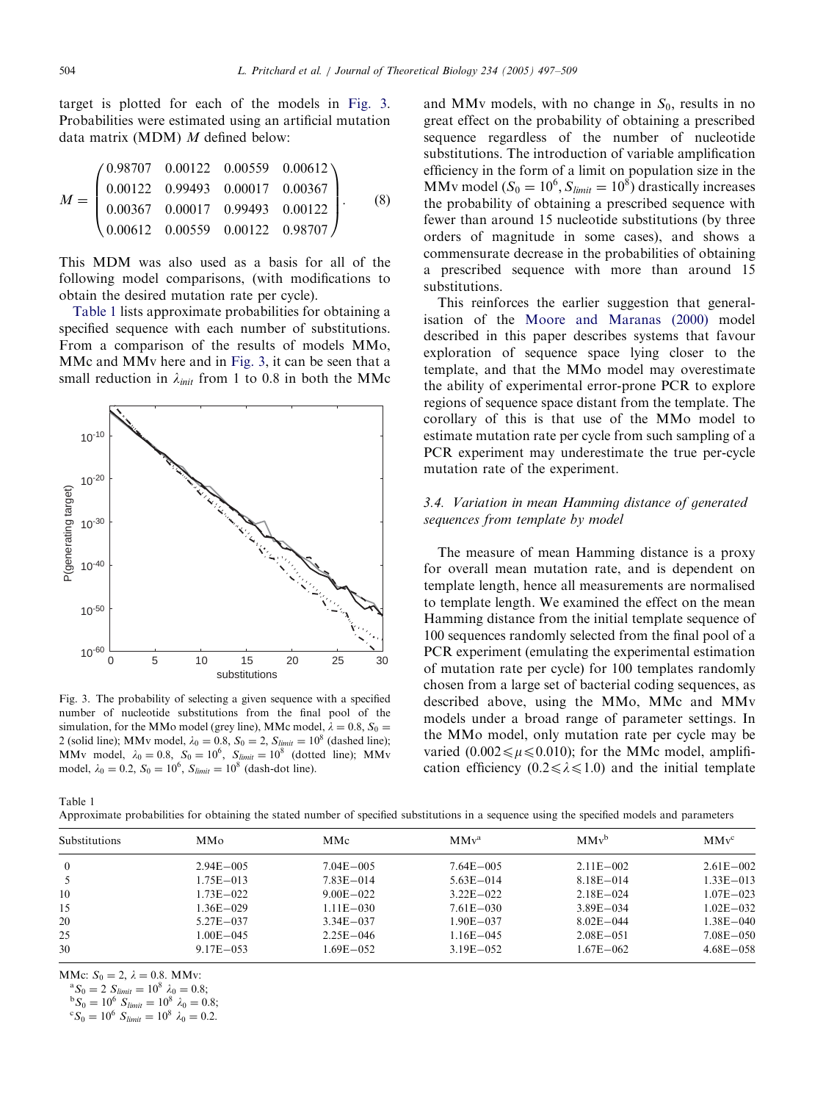<span id="page-7-0"></span>target is plotted for each of the models in Fig. 3. Probabilities were estimated using an artificial mutation data matrix (MDM) M defined below:

$$
M = \begin{pmatrix} 0.98707 & 0.00122 & 0.00559 & 0.00612 \\ 0.00122 & 0.99493 & 0.00017 & 0.00367 \\ 0.00367 & 0.00017 & 0.99493 & 0.00122 \\ 0.00612 & 0.00559 & 0.00122 & 0.98707 \end{pmatrix}.
$$
 (8)

This MDM was also used as a basis for all of the following model comparisons, (with modifications to obtain the desired mutation rate per cycle).

Table 1 lists approximate probabilities for obtaining a specified sequence with each number of substitutions. From a comparison of the results of models MMo, MMc and MMv here and in Fig. 3, it can be seen that a small reduction in  $\lambda_{init}$  from 1 to 0.8 in both the MMc



Fig. 3. The probability of selecting a given sequence with a specified number of nucleotide substitutions from the final pool of the simulation, for the MMo model (grey line), MMc model,  $\lambda = 0.8$ ,  $S_0 =$ 2 (solid line); MMv model,  $\lambda_0 = 0.8$ ,  $S_0 = 2$ ,  $S_{limit} = 10^8$  (dashed line); MMv model,  $\lambda_0 = 0.8$ ,  $S_0 = 10^6$ ,  $S_{limit} = 10^8$  (dotted line); MMv model,  $\lambda_0 = 0.2$ ,  $S_0 = 10^6$ ,  $S_{limit} = 10^8$  (dash-dot line).

and MMv models, with no change in  $S_0$ , results in no great effect on the probability of obtaining a prescribed sequence regardless of the number of nucleotide substitutions. The introduction of variable amplification efficiency in the form of a limit on population size in the MMv model ( $S_0 = 10^6$ ,  $S_{limit} = 10^8$ ) drastically increases the probability of obtaining a prescribed sequence with fewer than around 15 nucleotide substitutions (by three orders of magnitude in some cases), and shows a commensurate decrease in the probabilities of obtaining a prescribed sequence with more than around 15 substitutions.

This reinforces the earlier suggestion that generalisation of the [Moore and Maranas \(2000\)](#page-12-0) model described in this paper describes systems that favour exploration of sequence space lying closer to the template, and that the MMo model may overestimate the ability of experimental error-prone PCR to explore regions of sequence space distant from the template. The corollary of this is that use of the MMo model to estimate mutation rate per cycle from such sampling of a PCR experiment may underestimate the true per-cycle mutation rate of the experiment.

# 3.4. Variation in mean Hamming distance of generated sequences from template by model

The measure of mean Hamming distance is a proxy for overall mean mutation rate, and is dependent on template length, hence all measurements are normalised to template length. We examined the effect on the mean Hamming distance from the initial template sequence of 100 sequences randomly selected from the final pool of a PCR experiment (emulating the experimental estimation of mutation rate per cycle) for 100 templates randomly chosen from a large set of bacterial coding sequences, as described above, using the MMo, MMc and MMv models under a broad range of parameter settings. In the MMo model, only mutation rate per cycle may be varied (0.002 $\leq \mu \leq 0.010$ ); for the MMc model, amplification efficiency (0.2 $\leq \lambda \leq 1.0$ ) and the initial template

Table 1 Approximate probabilities for obtaining the stated number of specified substitutions in a sequence using the specified models and parameters

| <b>Substitutions</b> | MMo            | MMc            | MW <sup>a</sup> | MW <sup>b</sup> | MW <sup>c</sup> |
|----------------------|----------------|----------------|-----------------|-----------------|-----------------|
| $\bf{0}$             | $2.94E - 005$  | $7.04E - 005$  | $7.64E - 005$   | $2.11E - 002$   | $2.61E - 002$   |
|                      | $1.75E - 013$  | $7.83E - 014$  | $5.63E - 014$   | $8.18E - 014$   | $1.33E - 013$   |
| 10                   | $1.73E - 022$  | $9.00E - 022$  | $3.22E - 022$   | $2.18E - 024$   | $1.07E - 023$   |
| 15                   | $1.36E - 029$  | $1.11E - 030$  | $7.61E - 030$   | $3.89E - 034$   | $1.02E - 032$   |
| 20                   | $5.27E - 037$  | $3.34E - 037$  | $1.90E - 037$   | $8.02E - 044$   | $1.38E - 040$   |
| 25                   | $1.00E - 045$  | $2.25E - 046$  | $1.16E - 045$   | $2.08E - 0.51$  | $7.08E - 050$   |
| 30                   | $9.17E - 0.53$ | $1.69E - 0.52$ | $3.19E - 0.52$  | $1.67E - 062$   | $4.68E - 0.58$  |

MMc:  $S_0 = 2$ ,  $\lambda = 0.8$ . MMv:

 $S_0 = 2 S_{limit} = 10^8 \lambda_0 = 0.8;$ <br>b S<sub>1</sub> = 10<sup>6</sup> S<sub>1</sub> = 10<sup>8</sup>  $\lambda_0 = 0.8;$ 

 ${}^{6}S_0 = 10^6 \ S_{limit} = 10^8 \ \lambda_0 = 0.8;$ <br> ${}^{6}S_6 = 10^6 \ S_{i_1} = 10^8 \ \lambda_1 = 0.2$ 

 ${}^{\rm c}S_0 = 10^6 \ S_{limit} = 10^8 \ \lambda_0 = 0.2.$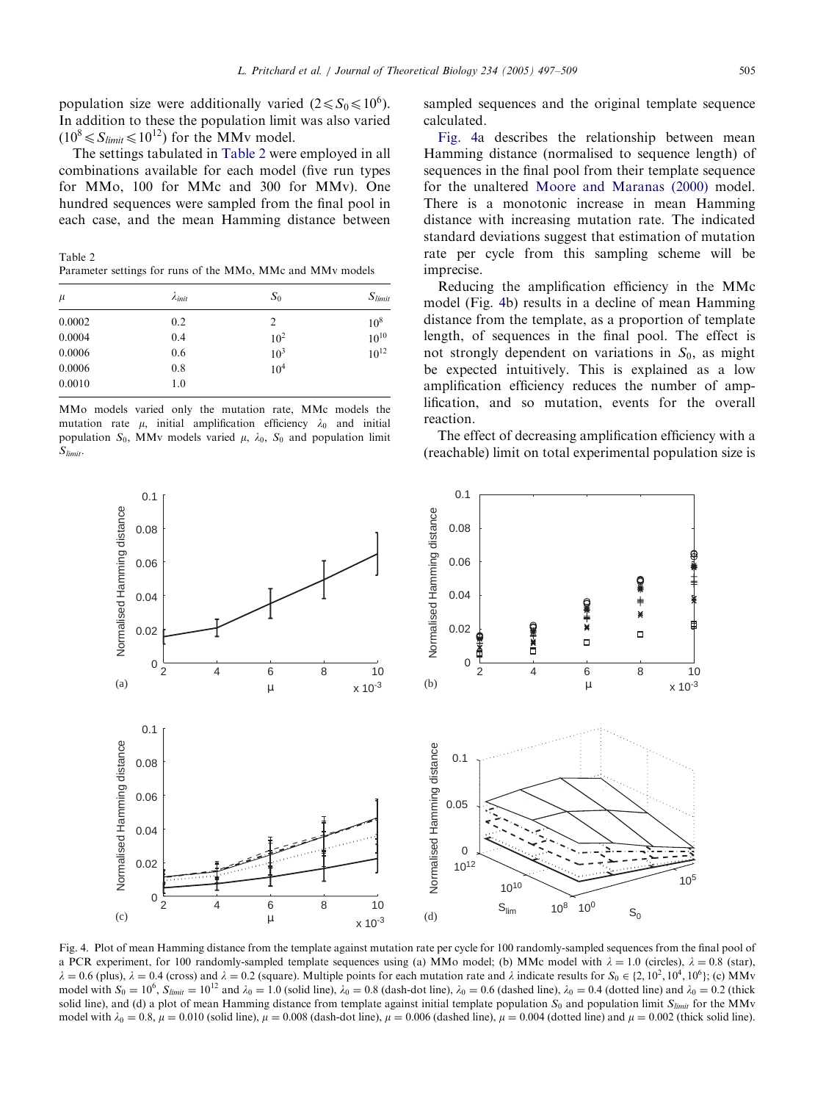<span id="page-8-0"></span>population size were additionally varied  $(2 \le S_0 \le 10^6)$ . In addition to these the population limit was also varied  $(10^8 \le S_{limit} \le 10^{12})$  for the MMv model.

The settings tabulated in Table 2 were employed in all combinations available for each model (five run types for MMo, 100 for MMc and 300 for MMv). One hundred sequences were sampled from the final pool in each case, and the mean Hamming distance between

Table 2 Parameter settings for runs of the MMo, MMc and MMv models

| $\mu$  | $\lambda_{init}$ | $S_0$           | $S_{limit}$ |
|--------|------------------|-----------------|-------------|
| 0.0002 | 0.2              | 2               | $10^{8}$    |
| 0.0004 | 0.4              | $10^{2}$        | $10^{10}$   |
| 0.0006 | 0.6              | 10 <sup>3</sup> | $10^{12}$   |
| 0.0006 | 0.8              | 10 <sup>4</sup> |             |
| 0.0010 | 1.0              |                 |             |

MMo models varied only the mutation rate, MMc models the mutation rate  $\mu$ , initial amplification efficiency  $\lambda_0$  and initial population  $S_0$ , MMv models varied  $\mu$ ,  $\lambda_0$ ,  $S_0$  and population limit  $S_{limit}$ 

sampled sequences and the original template sequence calculated.

Fig. 4a describes the relationship between mean Hamming distance (normalised to sequence length) of sequences in the final pool from their template sequence for the unaltered [Moore and Maranas \(2000\)](#page-12-0) model. There is a monotonic increase in mean Hamming distance with increasing mutation rate. The indicated standard deviations suggest that estimation of mutation rate per cycle from this sampling scheme will be imprecise.

Reducing the amplification efficiency in the MMc model (Fig. 4b) results in a decline of mean Hamming distance from the template, as a proportion of template length, of sequences in the final pool. The effect is not strongly dependent on variations in  $S_0$ , as might be expected intuitively. This is explained as a low amplification efficiency reduces the number of amplification, and so mutation, events for the overall reaction.

The effect of decreasing amplification efficiency with a (reachable) limit on total experimental population size is



Fig. 4. Plot of mean Hamming distance from the template against mutation rate per cycle for 100 randomly-sampled sequences from the final pool of a PCR experiment, for 100 randomly-sampled template sequences using (a) MMo model; (b) MMc model with  $\lambda = 1.0$  (circles),  $\lambda = 0.8$  (star),  $\lambda = 0.6$  (plus),  $\lambda = 0.4$  (cross) and  $\lambda = 0.2$  (square). Multiple points for each mutation rate and  $\lambda$  indicate results for  $S_0 \in \{2, 10^2, 10^4, 10^6\}$ ; (c) MMv model with  $S_0 = 10^6$ ,  $S_{limit} = 10^{12}$  and  $\lambda_0 = 1.0$  (solid line),  $\lambda_0 = 0.8$  (dash-dot line),  $\lambda_0 = 0.6$  (dashed line),  $\lambda_0 = 0.4$  (dotted line) and  $\lambda_0 = 0.2$  (thick solid line), and (d) a plot of mean Hamming distance from template against initial template population  $S_0$  and population limit  $S_{limit}$  for the MMv model with  $\lambda_0 = 0.8$ ,  $\mu = 0.010$  (solid line),  $\mu = 0.008$  (dash-dot line),  $\mu = 0.006$  (dashed line),  $\mu = 0.004$  (dotted line) and  $\mu = 0.002$  (thick solid line).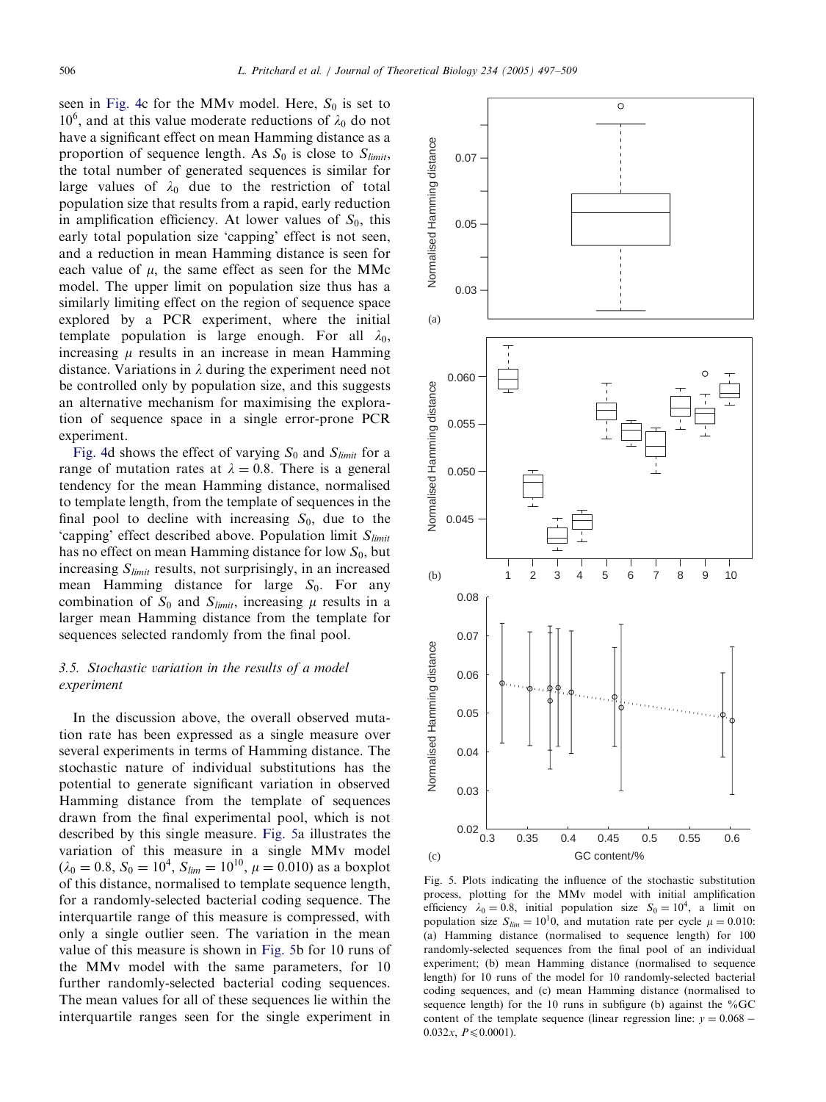<span id="page-9-0"></span>seen in [Fig. 4](#page-8-0)c for the MMv model. Here,  $S_0$  is set to  $10^6$ , and at this value moderate reductions of  $\lambda_0$  do not have a significant effect on mean Hamming distance as a proportion of sequence length. As  $S_0$  is close to  $S_{limit}$ , the total number of generated sequences is similar for large values of  $\lambda_0$  due to the restriction of total population size that results from a rapid, early reduction in amplification efficiency. At lower values of  $S_0$ , this early total population size 'capping' effect is not seen, and a reduction in mean Hamming distance is seen for each value of  $\mu$ , the same effect as seen for the MMc model. The upper limit on population size thus has a similarly limiting effect on the region of sequence space explored by a PCR experiment, where the initial template population is large enough. For all  $\lambda_0$ , increasing  $\mu$  results in an increase in mean Hamming distance. Variations in  $\lambda$  during the experiment need not be controlled only by population size, and this suggests an alternative mechanism for maximising the exploration of sequence space in a single error-prone PCR experiment.

[Fig. 4d](#page-8-0) shows the effect of varying  $S_0$  and  $S_{limit}$  for a range of mutation rates at  $\lambda = 0.8$ . There is a general tendency for the mean Hamming distance, normalised to template length, from the template of sequences in the final pool to decline with increasing  $S_0$ , due to the 'capping' effect described above. Population limit  $S_{limit}$ has no effect on mean Hamming distance for low  $S_0$ , but increasing  $S_{limit}$  results, not surprisingly, in an increased mean Hamming distance for large  $S_0$ . For any combination of  $S_0$  and  $S_{limit}$ , increasing  $\mu$  results in a larger mean Hamming distance from the template for sequences selected randomly from the final pool.

## 3.5. Stochastic variation in the results of a model experiment

In the discussion above, the overall observed mutation rate has been expressed as a single measure over several experiments in terms of Hamming distance. The stochastic nature of individual substitutions has the potential to generate significant variation in observed Hamming distance from the template of sequences drawn from the final experimental pool, which is not described by this single measure. Fig. 5a illustrates the variation of this measure in a single MMv model  $(\lambda_0 = 0.8, S_0 = 10^4, S_{lim} = 10^{10}, \mu = 0.010)$  as a boxplot of this distance, normalised to template sequence length, for a randomly-selected bacterial coding sequence. The interquartile range of this measure is compressed, with only a single outlier seen. The variation in the mean value of this measure is shown in Fig. 5b for 10 runs of the MMv model with the same parameters, for 10 further randomly-selected bacterial coding sequences. The mean values for all of these sequences lie within the interquartile ranges seen for the single experiment in



Fig. 5. Plots indicating the influence of the stochastic substitution process, plotting for the MMv model with initial amplification efficiency  $\lambda_0 = 0.8$ , initial population size  $S_0 = 10^4$ , a limit on population size  $S_{lim} = 10^10$ , and mutation rate per cycle  $\mu = 0.010$ : (a) Hamming distance (normalised to sequence length) for 100 randomly-selected sequences from the final pool of an individual experiment; (b) mean Hamming distance (normalised to sequence length) for 10 runs of the model for 10 randomly-selected bacterial coding sequences, and (c) mean Hamming distance (normalised to sequence length) for the 10 runs in subfigure (b) against the  $\%$ GC content of the template sequence (linear regression line:  $y = 0.068$  –  $0.032x, P \leq 0.0001$ ).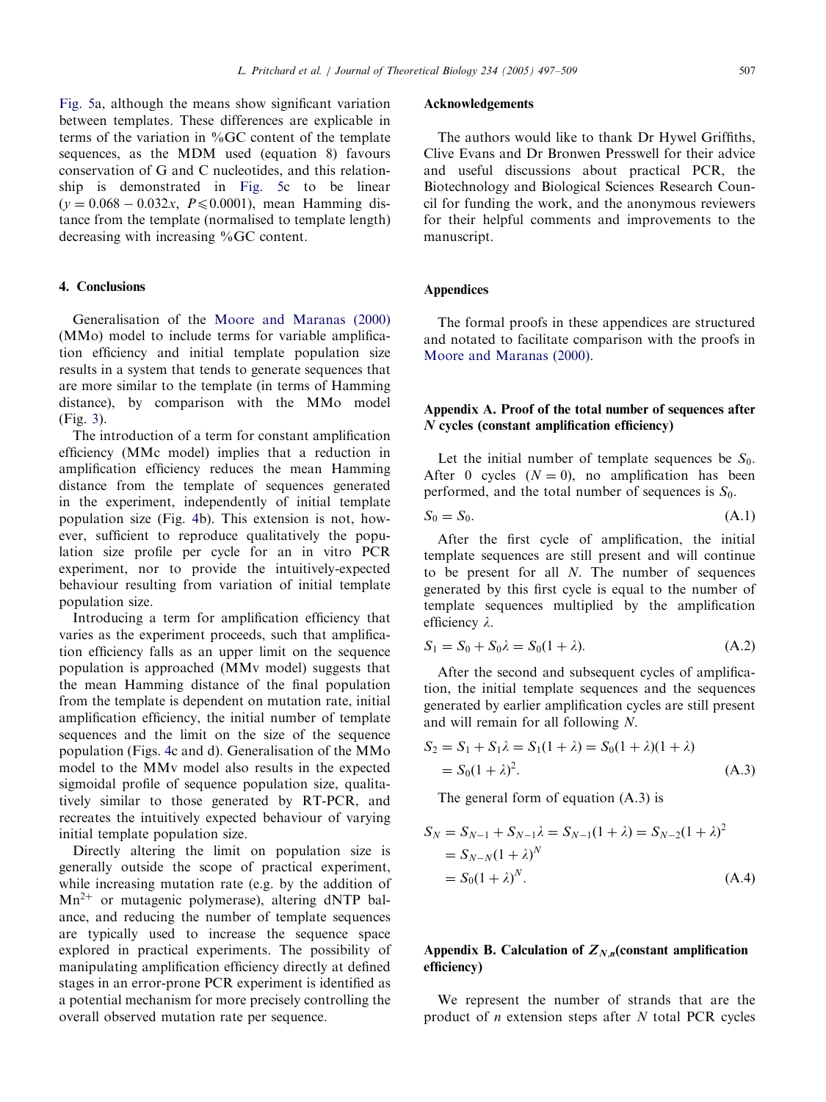[Fig. 5](#page-9-0)a, although the means show significant variation between templates. These differences are explicable in terms of the variation in %GC content of the template sequences, as the MDM used (equation 8) favours conservation of G and C nucleotides, and this relation-ship is demonstrated in [Fig. 5c](#page-9-0) to be linear  $(y = 0.068 - 0.032x, P \le 0.0001)$ , mean Hamming distance from the template (normalised to template length) decreasing with increasing %GC content.

#### 4. Conclusions

Generalisation of the [Moore and Maranas \(2000\)](#page-12-0) (MMo) model to include terms for variable amplification efficiency and initial template population size results in a system that tends to generate sequences that are more similar to the template (in terms of Hamming distance), by comparison with the MMo model (Fig. [3](#page-7-0)).

The introduction of a term for constant amplification efficiency (MMc model) implies that a reduction in amplification efficiency reduces the mean Hamming distance from the template of sequences generated in the experiment, independently of initial template population size (Fig. [4](#page-8-0)b). This extension is not, however, sufficient to reproduce qualitatively the population size profile per cycle for an in vitro PCR experiment, nor to provide the intuitively-expected behaviour resulting from variation of initial template population size.

Introducing a term for amplification efficiency that varies as the experiment proceeds, such that amplification efficiency falls as an upper limit on the sequence population is approached (MMv model) suggests that the mean Hamming distance of the final population from the template is dependent on mutation rate, initial amplification efficiency, the initial number of template sequences and the limit on the size of the sequence population (Figs. [4c](#page-8-0) and d). Generalisation of the MMo model to the MMv model also results in the expected sigmoidal profile of sequence population size, qualitatively similar to those generated by RT-PCR, and recreates the intuitively expected behaviour of varying initial template population size.

Directly altering the limit on population size is generally outside the scope of practical experiment, while increasing mutation rate (e.g. by the addition of  $Mn^{2+}$  or mutagenic polymerase), altering dNTP balance, and reducing the number of template sequences are typically used to increase the sequence space explored in practical experiments. The possibility of manipulating amplification efficiency directly at defined stages in an error-prone PCR experiment is identified as a potential mechanism for more precisely controlling the overall observed mutation rate per sequence.

#### Acknowledgements

The authors would like to thank Dr Hywel Griffiths, Clive Evans and Dr Bronwen Presswell for their advice and useful discussions about practical PCR, the Biotechnology and Biological Sciences Research Council for funding the work, and the anonymous reviewers for their helpful comments and improvements to the manuscript.

#### Appendices

The formal proofs in these appendices are structured and notated to facilitate comparison with the proofs in [Moore and Maranas \(2000\)](#page-12-0).

## Appendix A. Proof of the total number of sequences after N cycles (constant amplification efficiency)

Let the initial number of template sequences be  $S_0$ . After 0 cycles  $(N = 0)$ , no amplification has been performed, and the total number of sequences is  $S_0$ .

$$
S_0 = S_0. \tag{A.1}
$$

After the first cycle of amplification, the initial template sequences are still present and will continue to be present for all N. The number of sequences generated by this first cycle is equal to the number of template sequences multiplied by the amplification efficiency  $\lambda$ .

$$
S_1 = S_0 + S_0 \lambda = S_0 (1 + \lambda).
$$
 (A.2)

After the second and subsequent cycles of amplification, the initial template sequences and the sequences generated by earlier amplification cycles are still present and will remain for all following N.

$$
S_2 = S_1 + S_1 \lambda = S_1 (1 + \lambda) = S_0 (1 + \lambda)(1 + \lambda)
$$
  
= S\_0 (1 + \lambda)<sup>2</sup>. (A.3)

The general form of equation (A.3) is

$$
S_N = S_{N-1} + S_{N-1}\lambda = S_{N-1}(1+\lambda) = S_{N-2}(1+\lambda)^2
$$
  
=  $S_{N-N}(1+\lambda)^N$   
=  $S_0(1+\lambda)^N$ . (A.4)

# Appendix B. Calculation of  $Z_{N,n}$ (constant amplification efficiency)

We represent the number of strands that are the product of n extension steps after N total PCR cycles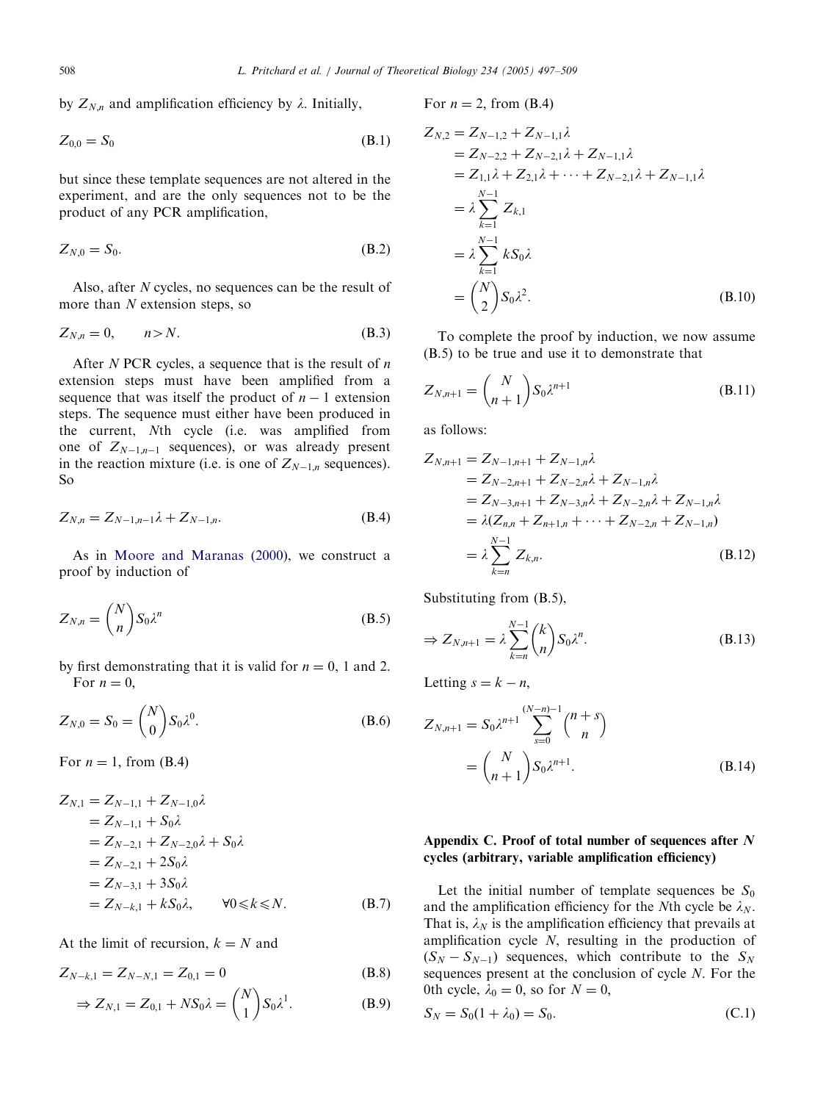by  $Z_{N,n}$  and amplification efficiency by  $\lambda$ . Initially,

$$
Z_{0,0} = S_0 \tag{B.1}
$$

but since these template sequences are not altered in the experiment, and are the only sequences not to be the product of any PCR amplification,

$$
Z_{N,0} = S_0. \tag{B.2}
$$

Also, after N cycles, no sequences can be the result of more than N extension steps, so

$$
Z_{N,n} = 0, \qquad n > N. \tag{B.3}
$$

After  $N$  PCR cycles, a sequence that is the result of  $n$ extension steps must have been amplified from a sequence that was itself the product of  $n-1$  extension steps. The sequence must either have been produced in the current, Nth cycle (i.e. was amplified from one of  $Z_{N-1,n-1}$  sequences), or was already present in the reaction mixture (i.e. is one of  $Z_{N-1,n}$  sequences). So

$$
Z_{N,n} = Z_{N-1,n-1}\lambda + Z_{N-1,n}.
$$
 (B.4)

As in [Moore and Maranas \(2000\)](#page-12-0), we construct a proof by induction of

$$
Z_{N,n} = \binom{N}{n} S_0 \lambda^n \tag{B.5}
$$

by first demonstrating that it is valid for  $n = 0$ , 1 and 2. For  $n = 0$ .

$$
Z_{N,0} = S_0 = \binom{N}{0} S_0 \lambda^0.
$$
 (B.6)

For  $n = 1$ , from (B.4)

$$
Z_{N,1} = Z_{N-1,1} + Z_{N-1,0}\lambda
$$
  
= Z\_{N-1,1} + S\_0\lambda  
= Z\_{N-2,1} + Z\_{N-2,0}\lambda + S\_0\lambda  
= Z\_{N-2,1} + 2S\_0\lambda  
= Z\_{N-3,1} + 3S\_0\lambda  
= Z\_{N-k,1} + kS\_0\lambda, \qquad \forall 0 \le k \le N. (B.7)

At the limit of recursion,  $k = N$  and

$$
Z_{N-k,1} = Z_{N-N,1} = Z_{0,1} = 0
$$
 (B.8)

$$
\Rightarrow Z_{N,1} = Z_{0,1} + NS_0 \lambda = {N \choose 1} S_0 \lambda^1.
$$
 (B.9)

For  $n = 2$ , from (B.4)

$$
Z_{N,2} = Z_{N-1,2} + Z_{N-1,1}\lambda
$$
  
= Z\_{N-2,2} + Z\_{N-2,1}\lambda + Z\_{N-1,1}\lambda  
= Z\_{1,1}\lambda + Z\_{2,1}\lambda + \dots + Z\_{N-2,1}\lambda + Z\_{N-1,1}\lambda  
= \lambda \sum\_{k=1}^{N-1} Z\_{k,1}  
= \lambda \sum\_{k=1}^{N-1} kS\_0\lambda  
= \binom{N}{2} S\_0 \lambda^2. (B.10)

To complete the proof by induction, we now assume (B.5) to be true and use it to demonstrate that

$$
Z_{N,n+1} = \binom{N}{n+1} S_0 \lambda^{n+1}
$$
\n(B.11)

as follows:

$$
Z_{N,n+1} = Z_{N-1,n+1} + Z_{N-1,n}\lambda
$$
  
= Z\_{N-2,n+1} + Z\_{N-2,n}\lambda + Z\_{N-1,n}\lambda  
= Z\_{N-3,n+1} + Z\_{N-3,n}\lambda + Z\_{N-2,n}\lambda + Z\_{N-1,n}\lambda  
= \lambda(Z\_{n,n} + Z\_{n+1,n} + \dots + Z\_{N-2,n} + Z\_{N-1,n})  
= \lambda \sum\_{k=n}^{N-1} Z\_{k,n}. (B.12)

Substituting from (B.5),

$$
\Rightarrow Z_{N,n+1} = \lambda \sum_{k=n}^{N-1} {k \choose n} S_0 \lambda^n.
$$
 (B.13)

Letting  $s = k - n$ ,

$$
Z_{N,n+1} = S_0 \lambda^{n+1} \sum_{s=0}^{(N-n)-1} {n+s \choose n}
$$
  
=  ${N \choose n+1} S_0 \lambda^{n+1}.$  (B.14)

# Appendix C. Proof of total number of sequences after N cycles (arbitrary, variable amplification efficiency)

Let the initial number of template sequences be  $S_0$ and the amplification efficiency for the Nth cycle be  $\lambda_N$ . That is,  $\lambda_N$  is the amplification efficiency that prevails at amplification cycle N, resulting in the production of  $(S_N - S_{N-1})$  sequences, which contribute to the  $S_N$ sequences present at the conclusion of cycle N. For the 0th cycle,  $\lambda_0 = 0$ , so for  $N = 0$ ,

$$
S_N = S_0(1 + \lambda_0) = S_0. \tag{C.1}
$$